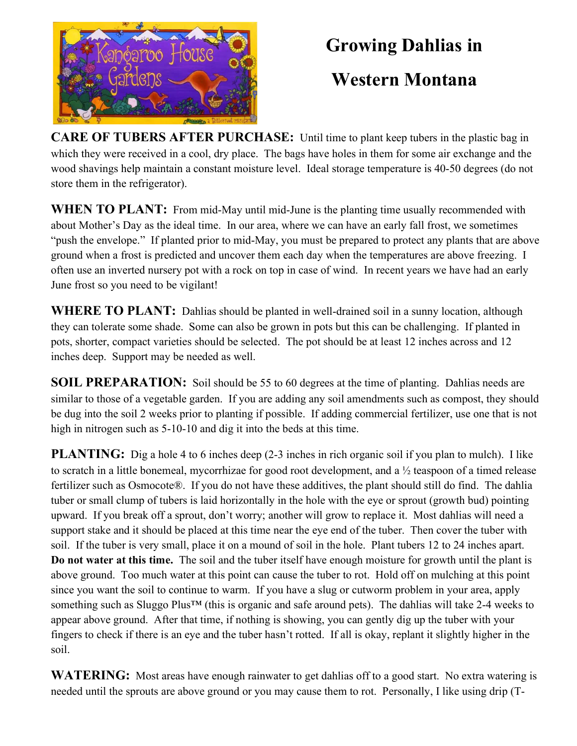

## Growing Dahlias in

## Western Montana

CARE OF TUBERS AFTER PURCHASE: Until time to plant keep tubers in the plastic bag in which they were received in a cool, dry place. The bags have holes in them for some air exchange and the wood shavings help maintain a constant moisture level. Ideal storage temperature is 40-50 degrees (do not store them in the refrigerator).

WHEN TO PLANT: From mid-May until mid-June is the planting time usually recommended with about Mother's Day as the ideal time. In our area, where we can have an early fall frost, we sometimes "push the envelope." If planted prior to mid-May, you must be prepared to protect any plants that are above ground when a frost is predicted and uncover them each day when the temperatures are above freezing. I often use an inverted nursery pot with a rock on top in case of wind. In recent years we have had an early June frost so you need to be vigilant!

WHERE TO PLANT: Dahlias should be planted in well-drained soil in a sunny location, although they can tolerate some shade. Some can also be grown in pots but this can be challenging. If planted in pots, shorter, compact varieties should be selected. The pot should be at least 12 inches across and 12 inches deep. Support may be needed as well.

SOIL PREPARATION: Soil should be 55 to 60 degrees at the time of planting. Dahlias needs are similar to those of a vegetable garden. If you are adding any soil amendments such as compost, they should be dug into the soil 2 weeks prior to planting if possible. If adding commercial fertilizer, use one that is not high in nitrogen such as  $5-10-10$  and dig it into the beds at this time.

PLANTING: Dig a hole 4 to 6 inches deep (2-3 inches in rich organic soil if you plan to mulch). I like to scratch in a little bonemeal, mycorrhizae for good root development, and a ½ teaspoon of a timed release fertilizer such as Osmocote®. If you do not have these additives, the plant should still do find. The dahlia tuber or small clump of tubers is laid horizontally in the hole with the eye or sprout (growth bud) pointing upward. If you break off a sprout, don't worry; another will grow to replace it. Most dahlias will need a support stake and it should be placed at this time near the eye end of the tuber. Then cover the tuber with soil. If the tuber is very small, place it on a mound of soil in the hole. Plant tubers 12 to 24 inches apart. Do not water at this time. The soil and the tuber itself have enough moisture for growth until the plant is above ground. Too much water at this point can cause the tuber to rot. Hold off on mulching at this point since you want the soil to continue to warm. If you have a slug or cutworm problem in your area, apply something such as Sluggo Plus<sup>™</sup> (this is organic and safe around pets). The dahlias will take 2-4 weeks to appear above ground. After that time, if nothing is showing, you can gently dig up the tuber with your fingers to check if there is an eye and the tuber hasn't rotted. If all is okay, replant it slightly higher in the soil.

WATERING: Most areas have enough rainwater to get dahlias off to a good start. No extra watering is needed until the sprouts are above ground or you may cause them to rot. Personally, I like using drip (T-